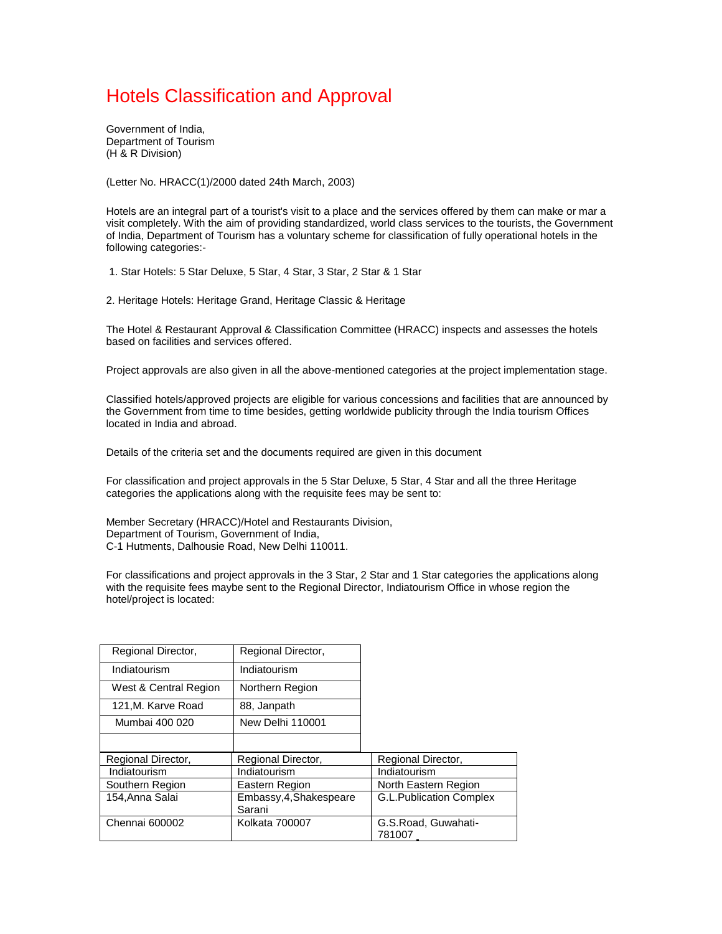# [Hotels Classification and Approval](http://www.fhrai.com/Classification%20of%20Hotels.doc)

Government of India, Department of Tourism (H & R Division)

(Letter No. HRACC(1)/2000 dated 24th March, 2003)

Hotels are an integral part of a tourist's visit to a place and the services offered by them can make or mar a visit completely. With the aim of providing standardized, world class services to the tourists, the Government of India, Department of Tourism has a voluntary scheme for classification of fully operational hotels in the following categories:-

1. Star Hotels: 5 Star Deluxe, 5 Star, 4 Star, 3 Star, 2 Star & 1 Star

2. Heritage Hotels: Heritage Grand, Heritage Classic & Heritage

The Hotel & Restaurant Approval & Classification Committee (HRACC) inspects and assesses the hotels based on facilities and services offered.

Project approvals are also given in all the above-mentioned categories at the project implementation stage.

Classified hotels/approved projects are eligible for various concessions and facilities that are announced by the Government from time to time besides, getting worldwide publicity through the India tourism Offices located in India and abroad.

Details of the criteria set and the documents required are given in this document

For classification and project approvals in the 5 Star Deluxe, 5 Star, 4 Star and all the three Heritage categories the applications along with the requisite fees may be sent to:

Member Secretary (HRACC)/Hotel and Restaurants Division, Department of Tourism, Government of India, C-1 Hutments, Dalhousie Road, New Delhi 110011.

For classifications and project approvals in the 3 Star, 2 Star and 1 Star categories the applications along with the requisite fees maybe sent to the Regional Director, Indiatourism Office in whose region the hotel/project is located:

| Regional Director,    | Regional Director,                |                                |
|-----------------------|-----------------------------------|--------------------------------|
| Indiatourism          | Indiatourism                      |                                |
| West & Central Region | Northern Region                   |                                |
| 121, M. Karve Road    | 88, Janpath                       |                                |
| Mumbai 400 020        | New Delhi 110001                  |                                |
|                       |                                   |                                |
| Regional Director,    | Regional Director,                | Regional Director,             |
| Indiatourism          | Indiatourism                      | Indiatourism                   |
| Southern Region       | Eastern Region                    | North Eastern Region           |
| 154, Anna Salai       | Embassy, 4, Shakespeare<br>Sarani | <b>G.L.Publication Complex</b> |
| Chennai 600002        | <b>Kolkata 700007</b>             | G.S.Road, Guwahati-<br>781007  |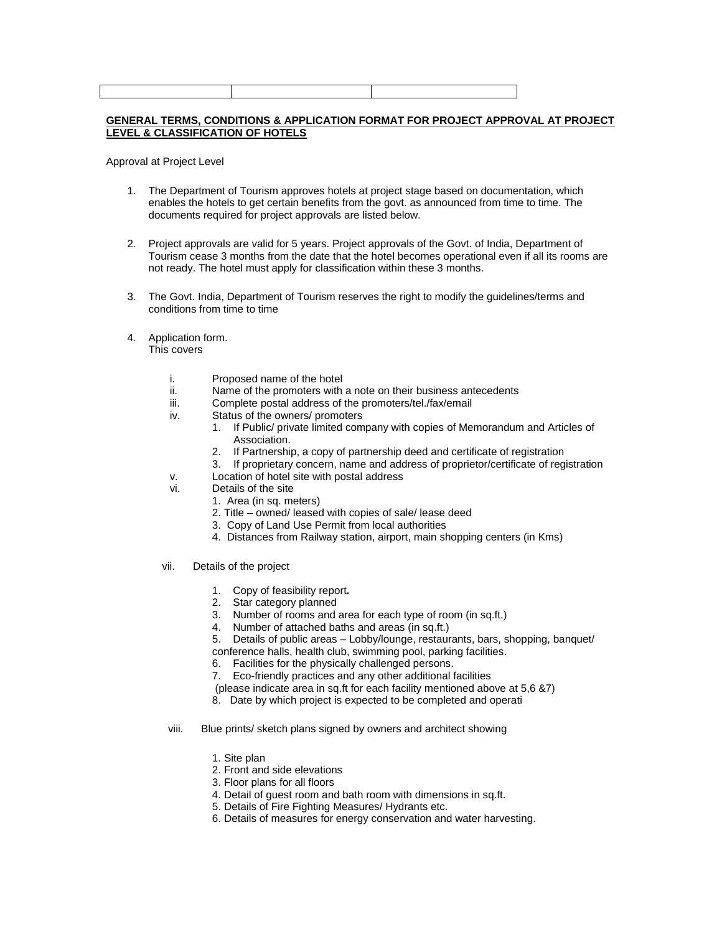### **GENERAL TERMS, CONDITIONS & APPLICATION FORMAT FOR PROJECT APPROVAL AT PROJECT LEVEL & CLASSIFICATION OF HOTELS**

Approval at Project Level

- 1. The Department of Tourism approves hotels at project stage based on documentation, which enables the hotels to get certain benefits from the govt. as announced from time to time. The documents required for project approvals are listed below.
- 2. Project approvals are valid for 5 years. Project approvals of the Govt. of India, Department of Tourism cease 3 months from the date that the hotel becomes operational even if all its rooms are not ready. The hotel must apply for classification within these 3 months.
- 3. The Govt. India, Department of Tourism reserves the right to modify the guidelines/terms and conditions from time to time
- 4. Application form.

This covers

- i. Proposed name of the hotel<br>ii Name of the promoters with
- Name of the promoters with a note on their business antecedents
- iii. Complete postal address of the promoters/tel./fax/email
- iv. Status of the owners/ promoters
	- 1. If Public/ private limited company with copies of Memorandum and Articles of Association.
	- 2. If Partnership, a copy of partnership deed and certificate of registration
	- 3. If proprietary concern, name and address of proprietor/certificate of registration
- v. Location of hotel site with postal address
- vi. Details of the site
	- 1. Area (in sq. meters)
	- 2. Title owned/ leased with copies of sale/ lease deed
	- 3. Copy of Land Use Permit from local authorities
	- 4. Distances from Railway station, airport, main shopping centers (in Kms)
- vii. Details of the project
	- 1. Copy of feasibility report*.*
	- 2. Star category planned
	- 3. Number of rooms and area for each type of room (in sq.ft.)
	- 4. Number of attached baths and areas (in sq.ft.)

5. Details of public areas – Lobby/lounge, restaurants, bars, shopping, banquet/ conference halls, health club, swimming pool, parking facilities.

- 6. Facilities for the physically challenged persons.
- 7. Eco-friendly practices and any other additional facilities

(please indicate area in sq.ft for each facility mentioned above at 5,6 &7)

- 8. Date by which project is expected to be completed and operati
- viii. Blue prints/ sketch plans signed by owners and architect showing
	- 1. Site plan
	- 2. Front and side elevations
	- 3. Floor plans for all floors
	- 4. Detail of guest room and bath room with dimensions in sq.ft.
	- 5. Details of Fire Fighting Measures/ Hydrants etc.
	- 6. Details of measures for energy conservation and water harvesting.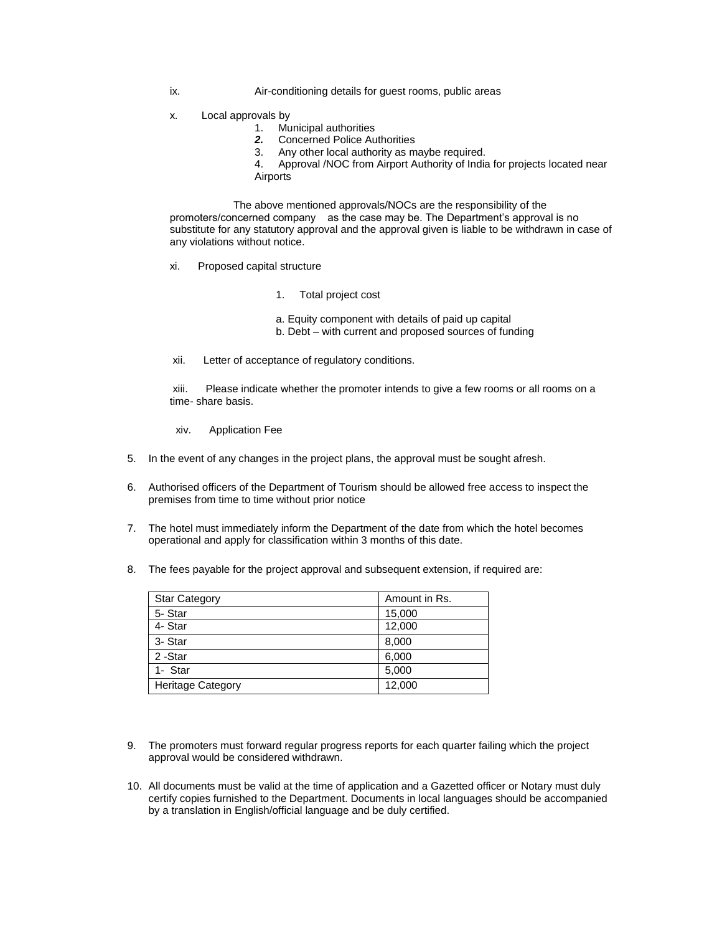- ix. Air-conditioning details for guest rooms, public areas
- x. Local approvals by
	- 1. Municipal authorities
	- *2.* Concerned Police Authorities
	- 3. Any other local authority as maybe required.

4. Approval /NOC from Airport Authority of India for projects located near Airports

The above mentioned approvals/NOCs are the responsibility of the promoters/concerned company as the case may be. The Department's approval is no substitute for any statutory approval and the approval given is liable to be withdrawn in case of any violations without notice.

- xi. Proposed capital structure
	- 1. Total project cost
	- a. Equity component with details of paid up capital
	- b. Debt with current and proposed sources of funding
- xii. Letter of acceptance of regulatory conditions.

xiii. Please indicate whether the promoter intends to give a few rooms or all rooms on a time- share basis.

- xiv. Application Fee
- 5. In the event of any changes in the project plans, the approval must be sought afresh.
- 6. Authorised officers of the Department of Tourism should be allowed free access to inspect the premises from time to time without prior notice
- 7. The hotel must immediately inform the Department of the date from which the hotel becomes operational and apply for classification within 3 months of this date.
- 8. The fees payable for the project approval and subsequent extension, if required are:

| <b>Star Category</b>     | Amount in Rs. |
|--------------------------|---------------|
| 5-Star                   | 15,000        |
| 4- Star                  | 12,000        |
| 3- Star                  | 8,000         |
| 2-Star                   | 6,000         |
| 1- Star                  | 5,000         |
| <b>Heritage Category</b> | 12,000        |

- 9. The promoters must forward regular progress reports for each quarter failing which the project approval would be considered withdrawn.
- 10. All documents must be valid at the time of application and a Gazetted officer or Notary must duly certify copies furnished to the Department. Documents in local languages should be accompanied by a translation in English/official language and be duly certified.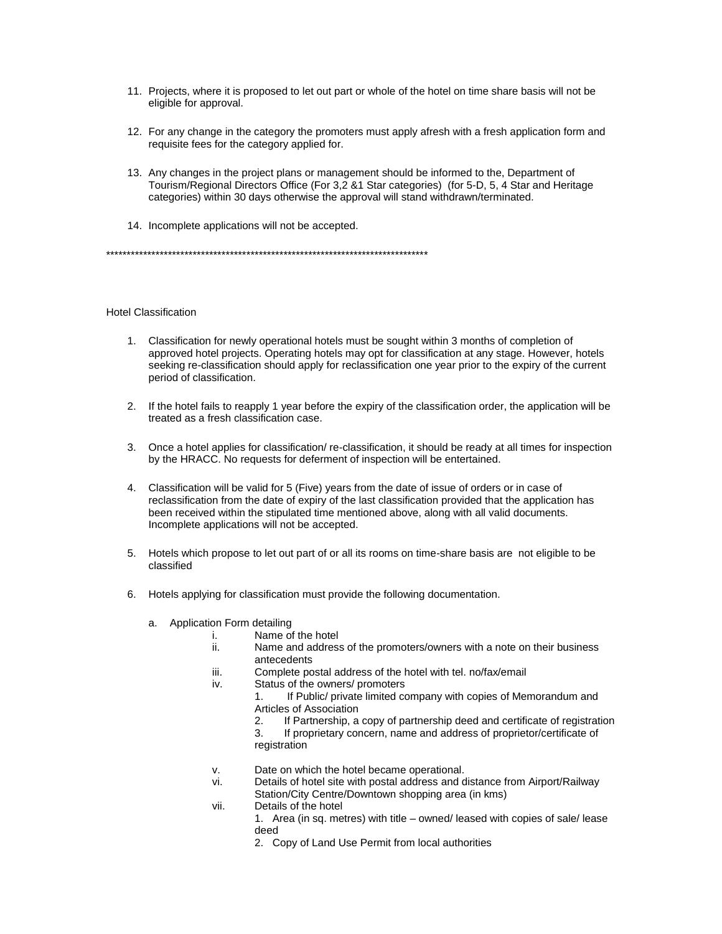- 11. Projects, where it is proposed to let out part or whole of the hotel on time share basis will not be eligible for approval.
- 12. For any change in the category the promoters must apply afresh with a fresh application form and requisite fees for the category applied for.
- 13. Any changes in the project plans or management should be informed to the, Department of Tourism/Regional Directors Office (For 3,2 &1 Star categories) (for 5-D, 5, 4 Star and Heritage categories) within 30 days otherwise the approval will stand withdrawn/terminated.
- 14. Incomplete applications will not be accepted.

\*\*\*\*\*\*\*\*\*\*\*\*\*\*\*\*\*\*\*\*\*\*\*\*\*\*\*\*\*\*\*\*\*\*\*\*\*\*\*\*\*\*\*\*\*\*\*\*\*\*\*\*\*\*\*\*\*\*\*\*\*\*\*\*\*\*\*\*\*\*\*\*\*\*\*\*\*\*

## Hotel Classification

- 1. Classification for newly operational hotels must be sought within 3 months of completion of approved hotel projects. Operating hotels may opt for classification at any stage. However, hotels seeking re-classification should apply for reclassification one year prior to the expiry of the current period of classification.
- 2. If the hotel fails to reapply 1 year before the expiry of the classification order, the application will be treated as a fresh classification case.
- 3. Once a hotel applies for classification/ re-classification, it should be ready at all times for inspection by the HRACC. No requests for deferment of inspection will be entertained.
- 4. Classification will be valid for 5 (Five) years from the date of issue of orders or in case of reclassification from the date of expiry of the last classification provided that the application has been received within the stipulated time mentioned above, along with all valid documents. Incomplete applications will not be accepted.
- 5. Hotels which propose to let out part of or all its rooms on time-share basis are not eligible to be classified
- 6. Hotels applying for classification must provide the following documentation.
	- a. Application Form detailing
		- i. Name of the hotel
			- ii. Name and address of the promoters/owners with a note on their business antecedents
			- iii. Complete postal address of the hotel with tel. no/fax/email
			- iv. Status of the owners/ promoters
				- 1. If Public/ private limited company with copies of Memorandum and Articles of Association
				- 2. If Partnership, a copy of partnership deed and certificate of registration
				- 3. If proprietary concern, name and address of proprietor/certificate of registration
			- v. Date on which the hotel became operational.
			- vi. Details of hotel site with postal address and distance from Airport/Railway Station/City Centre/Downtown shopping area (in kms)
			- vii. Details of the hotel
				- 1. Area (in sq. metres) with title owned/ leased with copies of sale/ lease deed
				- 2. Copy of Land Use Permit from local authorities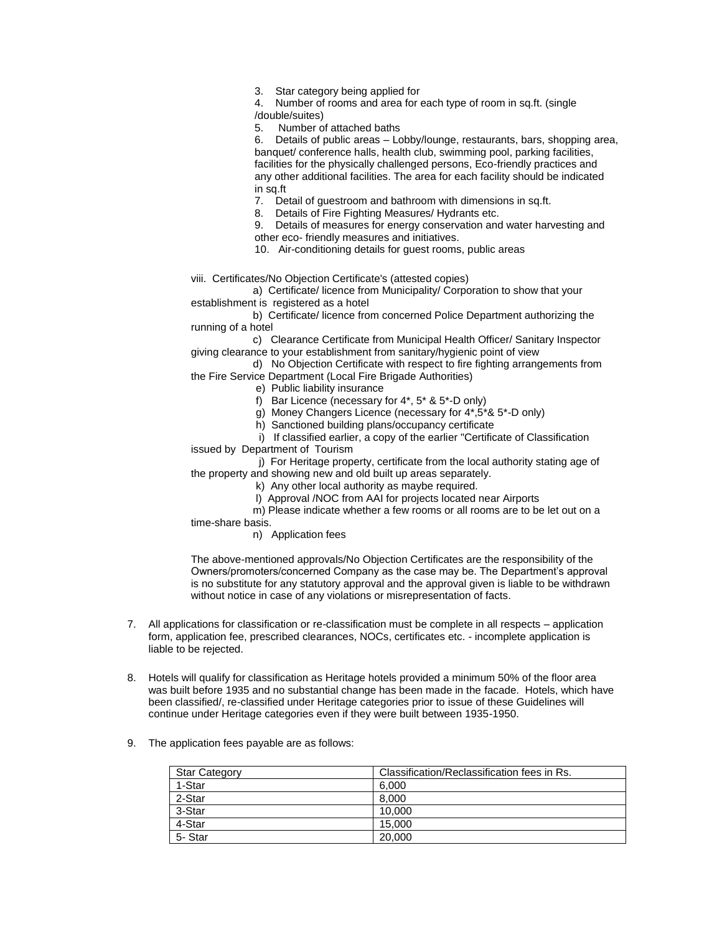3. Star category being applied for

4. Number of rooms and area for each type of room in sq.ft. (single /double/suites)

5. Number of attached baths

6. Details of public areas – Lobby/lounge, restaurants, bars, shopping area, banquet/ conference halls, health club, swimming pool, parking facilities, facilities for the physically challenged persons, Eco-friendly practices and any other additional facilities. The area for each facility should be indicated in sq.ft

7. Detail of guestroom and bathroom with dimensions in sq.ft.

8. Details of Fire Fighting Measures/ Hydrants etc.

9. Details of measures for energy conservation and water harvesting and other eco- friendly measures and initiatives.

10. Air-conditioning details for guest rooms, public areas

viii. Certificates/No Objection Certificate's (attested copies)

 a) Certificate/ licence from Municipality/ Corporation to show that your establishment is registered as a hotel

 b) Certificate/ licence from concerned Police Department authorizing the running of a hotel

 c) Clearance Certificate from Municipal Health Officer/ Sanitary Inspector giving clearance to your establishment from sanitary/hygienic point of view

 d) No Objection Certificate with respect to fire fighting arrangements from the Fire Service Department (Local Fire Brigade Authorities)

- e) Public liability insurance
- f) Bar Licence (necessary for 4\*, 5\* & 5\*-D only)
- g) Money Changers Licence (necessary for 4\*,5\*& 5\*-D only)
- h) Sanctioned building plans/occupancy certificate

 i) If classified earlier, a copy of the earlier "Certificate of Classification issued by Department of Tourism

 j) For Heritage property, certificate from the local authority stating age of the property and showing new and old built up areas separately.

k) Any other local authority as maybe required.

l) Approval /NOC from AAI for projects located near Airports

 m) Please indicate whether a few rooms or all rooms are to be let out on a time-share basis.

n) Application fees

The above-mentioned approvals/No Objection Certificates are the responsibility of the Owners/promoters/concerned Company as the case may be. The Department's approval is no substitute for any statutory approval and the approval given is liable to be withdrawn without notice in case of any violations or misrepresentation of facts.

- 7. All applications for classification or re-classification must be complete in all respects application form, application fee, prescribed clearances, NOCs, certificates etc. - incomplete application is liable to be rejected.
- 8. Hotels will qualify for classification as Heritage hotels provided a minimum 50% of the floor area was built before 1935 and no substantial change has been made in the facade. Hotels, which have been classified/, re-classified under Heritage categories prior to issue of these Guidelines will continue under Heritage categories even if they were built between 1935-1950.
- 9. The application fees payable are as follows:

| <b>Star Category</b> | Classification/Reclassification fees in Rs. |
|----------------------|---------------------------------------------|
| 1-Star               | 6.000                                       |
| 2-Star               | 8.000                                       |
| 3-Star               | 10.000                                      |
| 4-Star               | 15.000                                      |
| 5-Star               | 20,000                                      |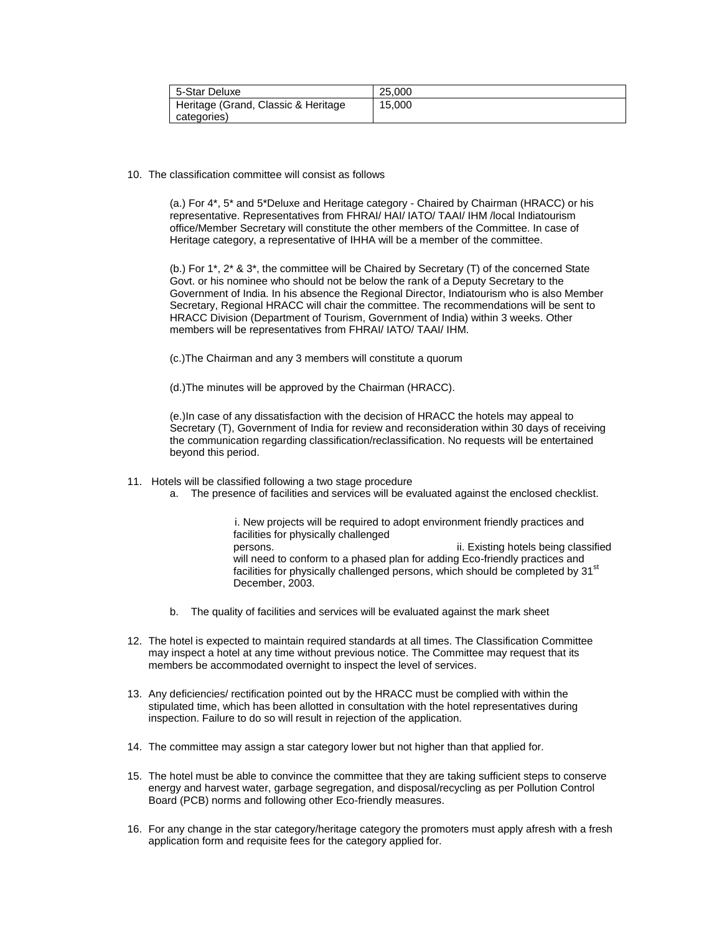| 5-Star Deluxe                       | 25.000 |
|-------------------------------------|--------|
| Heritage (Grand, Classic & Heritage | 15,000 |
| categories)                         |        |

10. The classification committee will consist as follows

(a.) For 4\*, 5\* and 5\*Deluxe and Heritage category - Chaired by Chairman (HRACC) or his representative. Representatives from FHRAI/ HAI/ IATO/ TAAI/ IHM /local Indiatourism office/Member Secretary will constitute the other members of the Committee. In case of Heritage category, a representative of IHHA will be a member of the committee.

(b.) For 1\*, 2\* & 3\*, the committee will be Chaired by Secretary (T) of the concerned State Govt. or his nominee who should not be below the rank of a Deputy Secretary to the Government of India. In his absence the Regional Director, Indiatourism who is also Member Secretary, Regional HRACC will chair the committee. The recommendations will be sent to HRACC Division (Department of Tourism, Government of India) within 3 weeks. Other members will be representatives from FHRAI/ IATO/ TAAI/ IHM.

(c.)The Chairman and any 3 members will constitute a quorum

(d.)The minutes will be approved by the Chairman (HRACC).

(e.)In case of any dissatisfaction with the decision of HRACC the hotels may appeal to Secretary (T), Government of India for review and reconsideration within 30 days of receiving the communication regarding classification/reclassification. No requests will be entertained beyond this period.

- 11. Hotels will be classified following a two stage procedure
	- a. The presence of facilities and services will be evaluated against the enclosed checklist.

 i. New projects will be required to adopt environment friendly practices and facilities for physically challenged persons. ii. Existing hotels being classified will need to conform to a phased plan for adding Eco-friendly practices and facilities for physically challenged persons, which should be completed by 31<sup>st</sup> December, 2003.

- b. The quality of facilities and services will be evaluated against the mark sheet
- 12. The hotel is expected to maintain required standards at all times. The Classification Committee may inspect a hotel at any time without previous notice. The Committee may request that its members be accommodated overnight to inspect the level of services.
- 13. Any deficiencies/ rectification pointed out by the HRACC must be complied with within the stipulated time, which has been allotted in consultation with the hotel representatives during inspection. Failure to do so will result in rejection of the application.
- 14. The committee may assign a star category lower but not higher than that applied for.
- 15. The hotel must be able to convince the committee that they are taking sufficient steps to conserve energy and harvest water, garbage segregation, and disposal/recycling as per Pollution Control Board (PCB) norms and following other Eco-friendly measures.
- 16. For any change in the star category/heritage category the promoters must apply afresh with a fresh application form and requisite fees for the category applied for.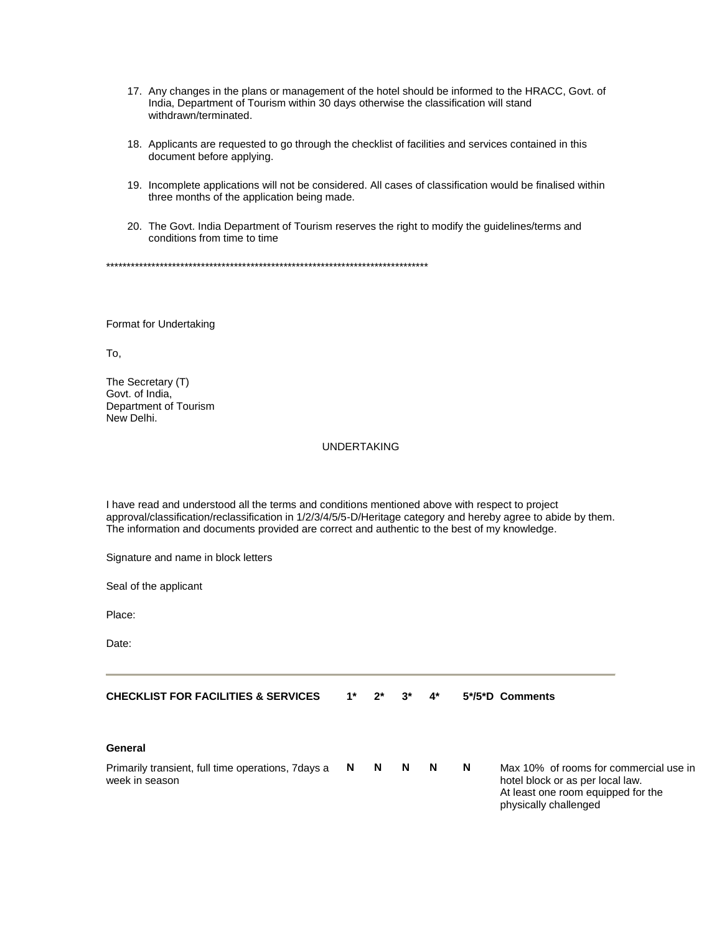- 17. Any changes in the plans or management of the hotel should be informed to the HRACC, Govt. of India, Department of Tourism within 30 days otherwise the classification will stand withdrawn/terminated.
- 18. Applicants are requested to go through the checklist of facilities and services contained in this document before applying.
- 19. Incomplete applications will not be considered. All cases of classification would be finalised within three months of the application being made.
- 20. The Govt. India Department of Tourism reserves the right to modify the guidelines/terms and conditions from time to time

\*\*\*\*\*\*\*\*\*\*\*\*\*\*\*\*\*\*\*\*\*\*\*\*\*\*\*\*\*\*\*\*\*\*\*\*\*\*\*\*\*\*\*\*\*\*\*\*\*\*\*\*\*\*\*\*\*\*\*\*\*\*\*\*\*\*\*\*\*\*\*\*\*\*\*\*\*\*

Format for Undertaking

To,

The Secretary (T) Govt. of India, Department of Tourism New Delhi.

# UNDERTAKING

I have read and understood all the terms and conditions mentioned above with respect to project approval/classification/reclassification in 1/2/3/4/5/5-D/Heritage category and hereby agree to abide by them. The information and documents provided are correct and authentic to the best of my knowledge.

Signature and name in block letters

Seal of the applicant

Place:

Date:

| <b>CHECKLIST FOR FACILITIES &amp; SERVICES</b> |  |  | $1^*$ $2^*$ $3^*$ $4^*$ |  | 5*/5*D Comments |
|------------------------------------------------|--|--|-------------------------|--|-----------------|
|------------------------------------------------|--|--|-------------------------|--|-----------------|

#### **General**

| Primarily transient, full time operations, 7days a N N |  | N N | <b>N</b> | Max 10% of rooms for commercial use in |
|--------------------------------------------------------|--|-----|----------|----------------------------------------|
| week in season                                         |  |     |          | hotel block or as per local law.       |

At least one room equipped for the physically challenged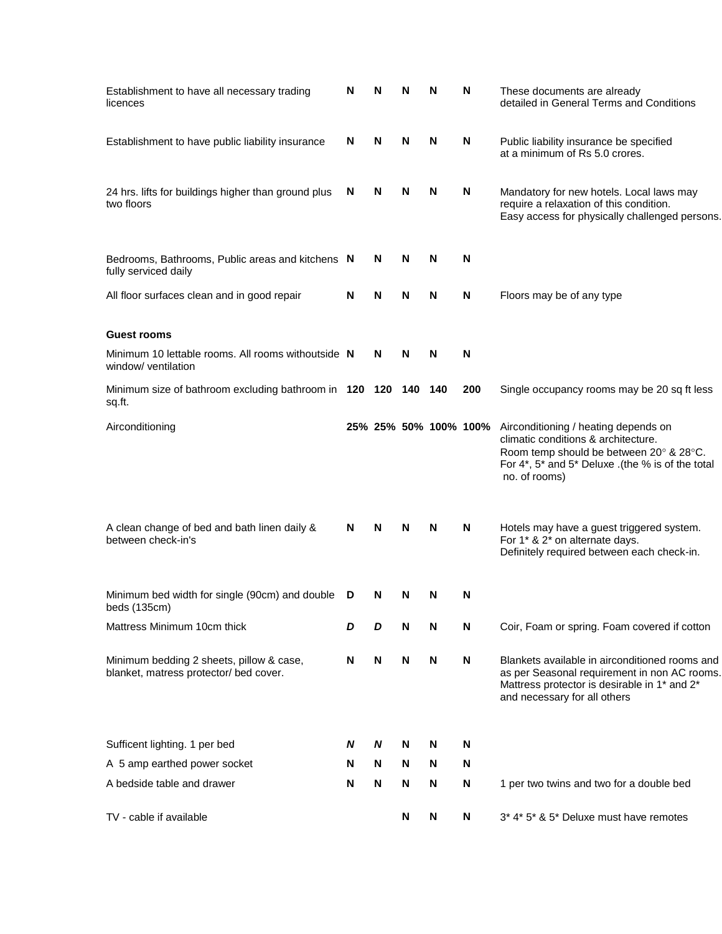| Establishment to have all necessary trading<br>licences                            | N | N | N | N   | N                     | These documents are already<br>detailed in General Terms and Conditions                                                                                                                               |
|------------------------------------------------------------------------------------|---|---|---|-----|-----------------------|-------------------------------------------------------------------------------------------------------------------------------------------------------------------------------------------------------|
| Establishment to have public liability insurance                                   | N | N | N | N   | N                     | Public liability insurance be specified<br>at a minimum of Rs 5.0 crores.                                                                                                                             |
| 24 hrs. lifts for buildings higher than ground plus<br>two floors                  | N | N | N | N   | N                     | Mandatory for new hotels. Local laws may<br>require a relaxation of this condition.<br>Easy access for physically challenged persons.                                                                 |
| Bedrooms, Bathrooms, Public areas and kitchens N<br>fully serviced daily           |   | N | N | N   | N                     |                                                                                                                                                                                                       |
| All floor surfaces clean and in good repair                                        | N | N | N | N   | N                     | Floors may be of any type                                                                                                                                                                             |
| <b>Guest rooms</b>                                                                 |   |   |   |     |                       |                                                                                                                                                                                                       |
| Minimum 10 lettable rooms. All rooms withoutside N<br>window/ ventilation          |   | N | N | N   | N                     |                                                                                                                                                                                                       |
| Minimum size of bathroom excluding bathroom in 120 120 140<br>sq.ft.               |   |   |   | 140 | 200                   | Single occupancy rooms may be 20 sq ft less                                                                                                                                                           |
| Airconditioning                                                                    |   |   |   |     | 25% 25% 50% 100% 100% | Airconditioning / heating depends on<br>climatic conditions & architecture.<br>Room temp should be between 20° & 28°C.<br>For $4^*$ , $5^*$ and $5^*$ Deluxe .(the % is of the total<br>no. of rooms) |
| A clean change of bed and bath linen daily &<br>between check-in's                 | N | N | N | N   | N                     | Hotels may have a guest triggered system.<br>For 1* & 2* on alternate days.<br>Definitely required between each check-in.                                                                             |
| Minimum bed width for single (90cm) and double<br>beds (135cm)                     | D | N | N | N   | N                     |                                                                                                                                                                                                       |
| Mattress Minimum 10cm thick                                                        | D | D | N | N   | N                     | Coir, Foam or spring. Foam covered if cotton                                                                                                                                                          |
| Minimum bedding 2 sheets, pillow & case,<br>blanket, matress protector/ bed cover. | N | N | N | N   | N                     | Blankets available in airconditioned rooms and<br>as per Seasonal requirement in non AC rooms.<br>Mattress protector is desirable in 1* and 2*<br>and necessary for all others                        |
| Sufficent lighting. 1 per bed                                                      | N | N | N | N   | N                     |                                                                                                                                                                                                       |
| A 5 amp earthed power socket                                                       | N | N | N | N   | N                     |                                                                                                                                                                                                       |
| A bedside table and drawer                                                         | N | N | N | N   | N                     | 1 per two twins and two for a double bed                                                                                                                                                              |
| TV - cable if available                                                            |   |   | N | N   | N                     | 3* 4* 5* & 5* Deluxe must have remotes                                                                                                                                                                |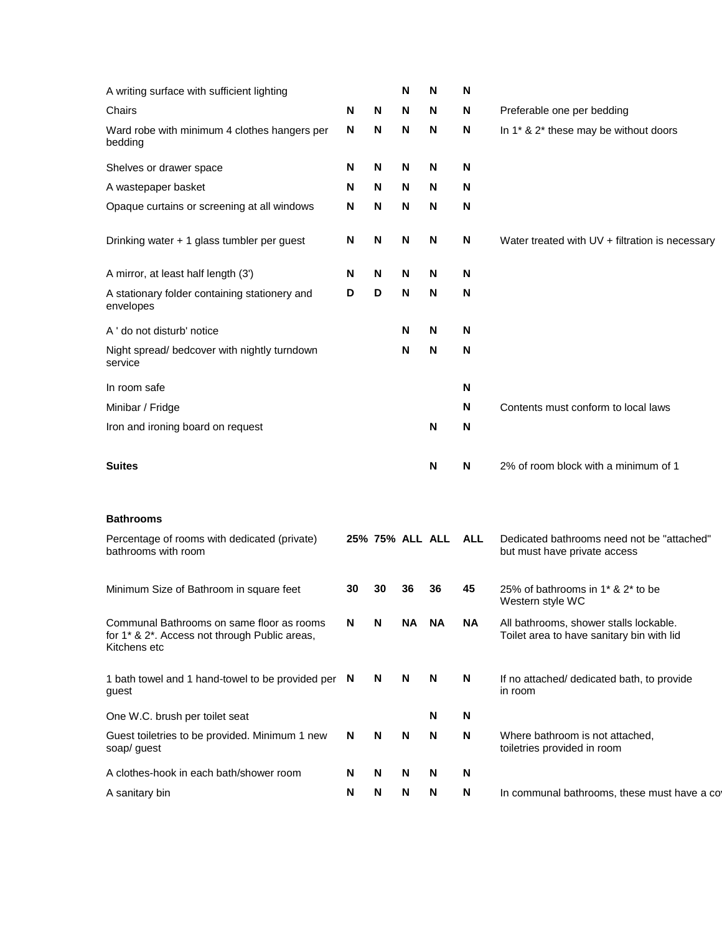| A writing surface with sufficient lighting                                                                 |    |    | N  | N                   | N  |                                                                                     |
|------------------------------------------------------------------------------------------------------------|----|----|----|---------------------|----|-------------------------------------------------------------------------------------|
| Chairs                                                                                                     | N  | N  | N  | N                   | N  | Preferable one per bedding                                                          |
| Ward robe with minimum 4 clothes hangers per<br>bedding                                                    | N  | N  | N  | N                   | N  | In 1* & 2* these may be without doors                                               |
| Shelves or drawer space                                                                                    | N  | N  | N  | N                   | N  |                                                                                     |
| A wastepaper basket                                                                                        | N  | N  | N  | N                   | N  |                                                                                     |
| Opaque curtains or screening at all windows                                                                | N  | N  | N  | N                   | N  |                                                                                     |
| Drinking water + 1 glass tumbler per guest                                                                 | N  | N  | N  | N                   | N  | Water treated with UV + filtration is necessary                                     |
| A mirror, at least half length (3')                                                                        | N  | N  | N  | N                   | N  |                                                                                     |
| A stationary folder containing stationery and<br>envelopes                                                 | D  | D  | N  | N                   | N  |                                                                                     |
| A ' do not disturb' notice                                                                                 |    |    | N  | N                   | N  |                                                                                     |
| Night spread/ bedcover with nightly turndown<br>service                                                    |    |    | N  | N                   | N  |                                                                                     |
| In room safe                                                                                               |    |    |    |                     | N  |                                                                                     |
| Minibar / Fridge                                                                                           |    |    |    |                     | N  | Contents must conform to local laws                                                 |
| Iron and ironing board on request                                                                          |    |    |    | N                   | N  |                                                                                     |
| <b>Suites</b>                                                                                              |    |    |    | N                   | N  | 2% of room block with a minimum of 1                                                |
| <b>Bathrooms</b>                                                                                           |    |    |    |                     |    |                                                                                     |
| Percentage of rooms with dedicated (private)<br>bathrooms with room                                        |    |    |    | 25% 75% ALL ALL ALL |    | Dedicated bathrooms need not be "attached"<br>but must have private access          |
| Minimum Size of Bathroom in square feet                                                                    | 30 | 30 | 36 | 36                  | 45 | 25% of bathrooms in 1 <sup>*</sup> & 2 <sup>*</sup> to be<br>Western style WC       |
| Communal Bathrooms on same floor as rooms<br>for 1* & 2*. Access not through Public areas,<br>Kitchens etc | N  | N  | ΝA | ΝA                  | NA | All bathrooms, shower stalls lockable.<br>Toilet area to have sanitary bin with lid |
| 1 bath towel and 1 hand-towel to be provided per N<br>guest                                                |    | N  | N  | N                   | N  | If no attached/ dedicated bath, to provide<br>in room                               |
| One W.C. brush per toilet seat                                                                             |    |    |    | N                   | N  |                                                                                     |
| Guest toiletries to be provided. Minimum 1 new<br>soap/ guest                                              | N  | N  | N  | N                   | N  | Where bathroom is not attached,<br>toiletries provided in room                      |
| A clothes-hook in each bath/shower room                                                                    | N  | N  | N  | N                   | N  |                                                                                     |
| A sanitary bin                                                                                             | N  | N  | N  | N                   | Ν  | In communal bathrooms, these must have a cot                                        |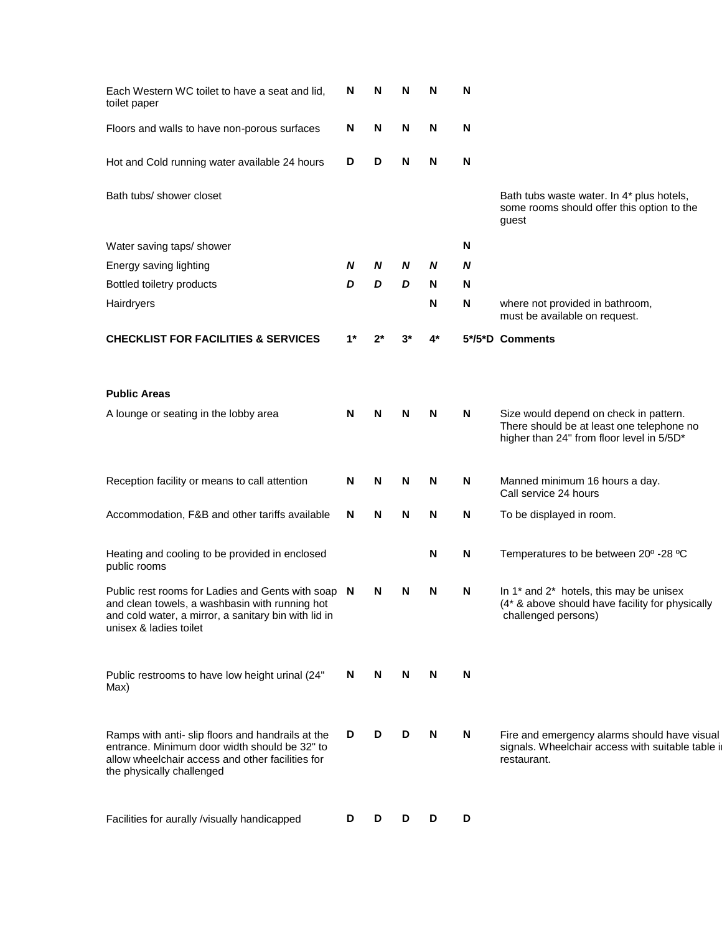| Each Western WC toilet to have a seat and lid,<br>toilet paper                                                                                                                         | N  | N | N | N    | N |                                                                                                                   |
|----------------------------------------------------------------------------------------------------------------------------------------------------------------------------------------|----|---|---|------|---|-------------------------------------------------------------------------------------------------------------------|
| Floors and walls to have non-porous surfaces                                                                                                                                           | N  | N | N | N    | N |                                                                                                                   |
| Hot and Cold running water available 24 hours                                                                                                                                          | D  | D | N | N    | N |                                                                                                                   |
| Bath tubs/ shower closet                                                                                                                                                               |    |   |   |      |   | Bath tubs waste water. In 4* plus hotels,<br>some rooms should offer this option to the<br>guest                  |
| Water saving taps/ shower                                                                                                                                                              |    |   |   |      | N |                                                                                                                   |
| Energy saving lighting                                                                                                                                                                 | N  | N | N | N    | N |                                                                                                                   |
| Bottled toiletry products                                                                                                                                                              | D  | D | D | N    | N |                                                                                                                   |
| Hairdryers                                                                                                                                                                             |    |   |   | N    | N | where not provided in bathroom,<br>must be available on request.                                                  |
| <b>CHECKLIST FOR FACILITIES &amp; SERVICES</b>                                                                                                                                         | 1* |   |   | $4*$ |   | 5*/5*D Comments                                                                                                   |
| <b>Public Areas</b>                                                                                                                                                                    |    |   |   |      |   |                                                                                                                   |
| A lounge or seating in the lobby area                                                                                                                                                  | N  | N | N | N    | N | Size would depend on check in pattern.                                                                            |
|                                                                                                                                                                                        |    |   |   |      |   | There should be at least one telephone no<br>higher than 24" from floor level in 5/5D*                            |
| Reception facility or means to call attention                                                                                                                                          | N  | N | N | N    | N | Manned minimum 16 hours a day.<br>Call service 24 hours                                                           |
| Accommodation, F&B and other tariffs available                                                                                                                                         | N  | N | N | N    | N | To be displayed in room.                                                                                          |
| Heating and cooling to be provided in enclosed<br>public rooms                                                                                                                         |    |   |   | N    | N | Temperatures to be between 20° -28 °C                                                                             |
| Public rest rooms for Ladies and Gents with soap N<br>and clean towels, a washbasin with running hot<br>and cold water, a mirror, a sanitary bin with lid in<br>unisex & ladies toilet |    | N | N | N    | N | In 1* and 2* hotels, this may be unisex<br>(4* & above should have facility for physically<br>challenged persons) |
| Public restrooms to have low height urinal (24"<br>Max)                                                                                                                                | N  | N | N | N    | N |                                                                                                                   |
| Ramps with anti- slip floors and handrails at the<br>entrance. Minimum door width should be 32" to<br>allow wheelchair access and other facilities for<br>the physically challenged    | D  | D | D | N    | N | Fire and emergency alarms should have visual<br>signals. Wheelchair access with suitable table in<br>restaurant.  |
| Facilities for aurally /visually handicapped                                                                                                                                           | D  | D | D | D    | D |                                                                                                                   |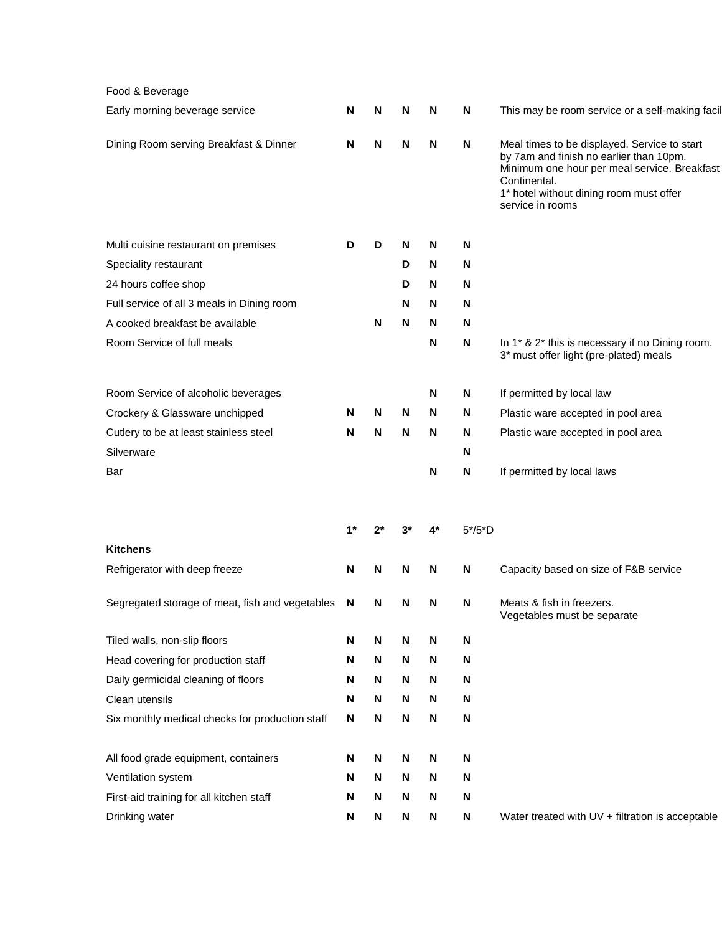| Food & Beverage                                 |       |    |   |    |          |                                                                                                                                                                                                                        |
|-------------------------------------------------|-------|----|---|----|----------|------------------------------------------------------------------------------------------------------------------------------------------------------------------------------------------------------------------------|
| Early morning beverage service                  | N     | N  | N | N  | N        | This may be room service or a self-making facil                                                                                                                                                                        |
| Dining Room serving Breakfast & Dinner          | N     | N  | N | N  | N        | Meal times to be displayed. Service to start<br>by 7am and finish no earlier than 10pm.<br>Minimum one hour per meal service. Breakfast<br>Continental.<br>1* hotel without dining room must offer<br>service in rooms |
| Multi cuisine restaurant on premises            | D     | D  | N | N  | N        |                                                                                                                                                                                                                        |
| Speciality restaurant                           |       |    | D | N  | N        |                                                                                                                                                                                                                        |
| 24 hours coffee shop                            |       |    | D | N  | N        |                                                                                                                                                                                                                        |
| Full service of all 3 meals in Dining room      |       |    | N | N  | N        |                                                                                                                                                                                                                        |
| A cooked breakfast be available                 |       | N  | N | N  | N        |                                                                                                                                                                                                                        |
| Room Service of full meals                      |       |    |   | N  | N        | In 1* & 2* this is necessary if no Dining room.<br>3* must offer light (pre-plated) meals                                                                                                                              |
| Room Service of alcoholic beverages             |       |    |   | N  | N        | If permitted by local law                                                                                                                                                                                              |
| Crockery & Glassware unchipped                  | N     | N  | N | N  | N        | Plastic ware accepted in pool area                                                                                                                                                                                     |
| Cutlery to be at least stainless steel          | N     | N  | N | N  | N        | Plastic ware accepted in pool area                                                                                                                                                                                     |
| Silverware                                      |       |    |   |    | N        |                                                                                                                                                                                                                        |
| Bar                                             |       |    |   | N  | N        | If permitted by local laws                                                                                                                                                                                             |
|                                                 | $1^*$ | 2* |   | 4* | $5*/5*D$ |                                                                                                                                                                                                                        |
| <b>Kitchens</b>                                 |       |    |   |    |          |                                                                                                                                                                                                                        |
| Refrigerator with deep freeze                   | N     | N  | N | N  | N        | Capacity based on size of F&B service                                                                                                                                                                                  |
| Segregated storage of meat, fish and vegetables | N     | N  | N | N  | N        | Meats & fish in freezers.<br>Vegetables must be separate                                                                                                                                                               |
| Tiled walls, non-slip floors                    | N     | N  | N | N  | N        |                                                                                                                                                                                                                        |
| Head covering for production staff              | N     | N  | N | N  | N        |                                                                                                                                                                                                                        |
| Daily germicidal cleaning of floors             | N     | N  | N | N  | N        |                                                                                                                                                                                                                        |
| Clean utensils                                  | N     | N  | N | N  | N        |                                                                                                                                                                                                                        |
| Six monthly medical checks for production staff | N     | N  | N | N  | N        |                                                                                                                                                                                                                        |
| All food grade equipment, containers            | N     | N  | N | N  | N        |                                                                                                                                                                                                                        |
| Ventilation system                              | N     | N  | N | N  | N        |                                                                                                                                                                                                                        |
| First-aid training for all kitchen staff        | N     | N  | N | N  | N        |                                                                                                                                                                                                                        |
| Drinking water                                  | N     | N  | N | N  | N        | Water treated with UV + filtration is acceptable                                                                                                                                                                       |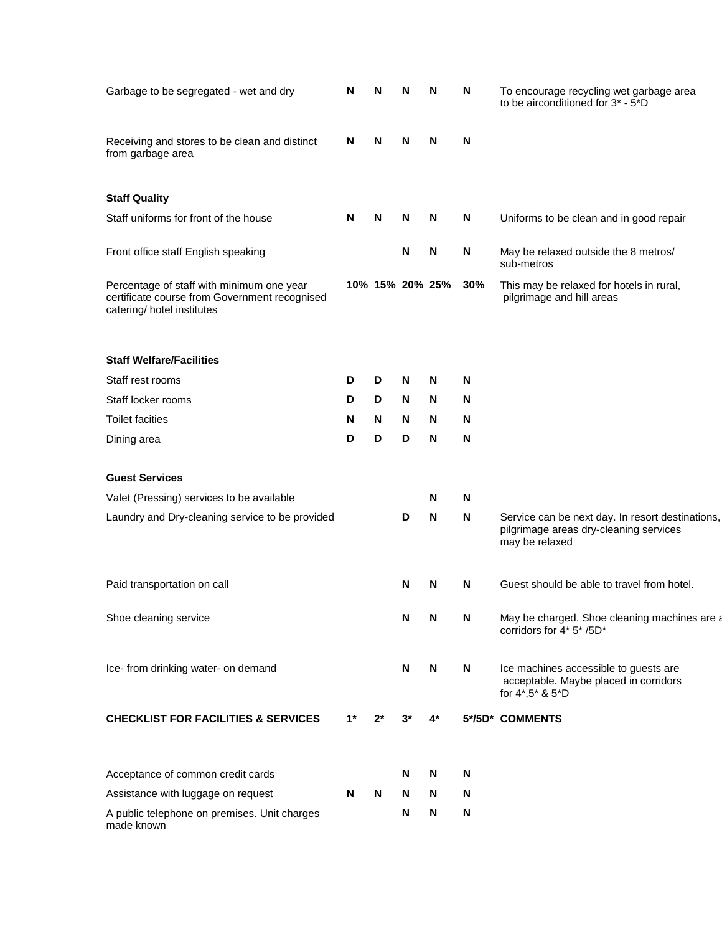| Garbage to be segregated - wet and dry                                                                                   | N | N               | N | N | N                         | To encourage recycling wet garbage area<br>to be airconditioned for 3* - 5*D                                 |
|--------------------------------------------------------------------------------------------------------------------------|---|-----------------|---|---|---------------------------|--------------------------------------------------------------------------------------------------------------|
| Receiving and stores to be clean and distinct<br>from garbage area                                                       | N | N               | N | N | N                         |                                                                                                              |
| <b>Staff Quality</b>                                                                                                     |   |                 |   |   |                           |                                                                                                              |
| Staff uniforms for front of the house                                                                                    | N | N               | N | N | N                         | Uniforms to be clean and in good repair                                                                      |
| Front office staff English speaking                                                                                      |   |                 | N | N | N                         | May be relaxed outside the 8 metros/<br>sub-metros                                                           |
| Percentage of staff with minimum one year<br>certificate course from Government recognised<br>catering/ hotel institutes |   | 10% 15% 20% 25% |   |   | 30%                       | This may be relaxed for hotels in rural,<br>pilgrimage and hill areas                                        |
| <b>Staff Welfare/Facilities</b>                                                                                          |   |                 |   |   |                           |                                                                                                              |
| Staff rest rooms                                                                                                         | D | D               | N | N | N                         |                                                                                                              |
| Staff locker rooms                                                                                                       | D | D               | N | N | N                         |                                                                                                              |
| <b>Toilet facities</b>                                                                                                   | N | N               | N | Ν | N                         |                                                                                                              |
| Dining area                                                                                                              | D | D               | D | N | N                         |                                                                                                              |
| <b>Guest Services</b>                                                                                                    |   |                 |   |   |                           |                                                                                                              |
| Valet (Pressing) services to be available                                                                                |   |                 |   | N | N                         |                                                                                                              |
| Laundry and Dry-cleaning service to be provided                                                                          |   |                 | D | N | N                         | Service can be next day. In resort destinations,<br>pilgrimage areas dry-cleaning services<br>may be relaxed |
| Paid transportation on call                                                                                              |   |                 | N | N | N                         | Guest should be able to travel from hotel.                                                                   |
| Shoe cleaning service                                                                                                    |   |                 | N | N | N                         | May be charged. Shoe cleaning machines are a<br>corridors for 4* 5* /5D*                                     |
| Ice- from drinking water- on demand                                                                                      |   |                 | N | N | N                         | Ice machines accessible to guests are<br>acceptable. Maybe placed in corridors<br>for 4*,5* & 5*D            |
| <b>CHECKLIST FOR FACILITIES &amp; SERVICES</b>                                                                           |   |                 |   |   |                           | 5*/5D* COMMENTS                                                                                              |
| Acceptance of common credit cards                                                                                        |   |                 | N | N | N                         |                                                                                                              |
| Assistance with luggage on request                                                                                       | N | N               | N | N | N                         |                                                                                                              |
| A public telephone on premises. Unit charges<br>made known                                                               |   |                 | N | N | $\boldsymbol{\mathsf{N}}$ |                                                                                                              |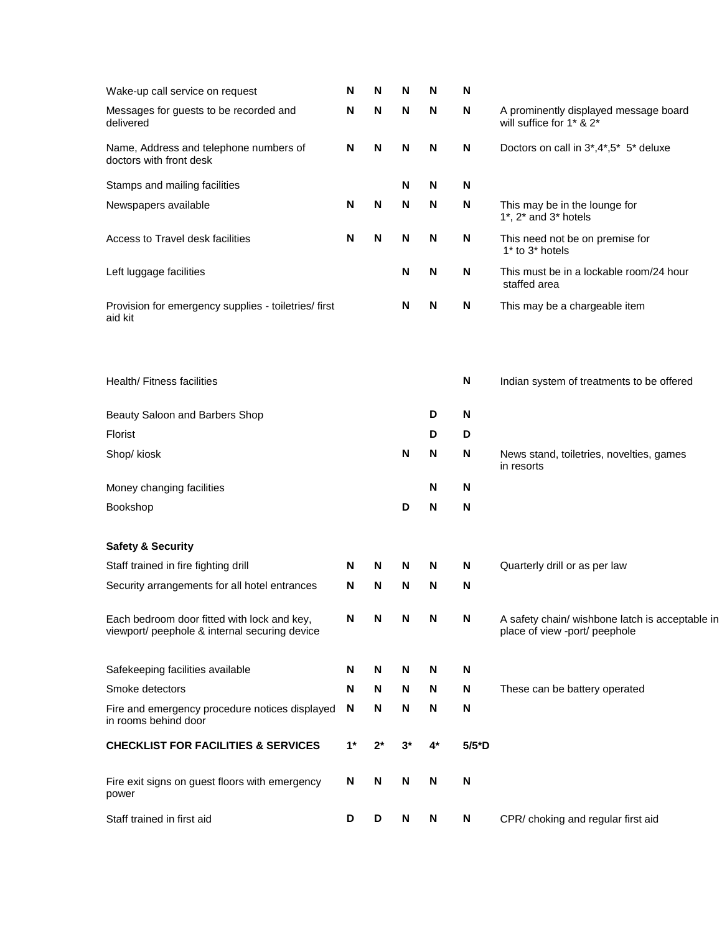| Wake-up call service on request                                                              | N    | N  | N     | N  | N        |                                                                                  |
|----------------------------------------------------------------------------------------------|------|----|-------|----|----------|----------------------------------------------------------------------------------|
| Messages for guests to be recorded and<br>delivered                                          | N    | N  | N     | N  | N        | A prominently displayed message board<br>will suffice for 1* & 2*                |
| Name, Address and telephone numbers of<br>doctors with front desk                            | N    | N  | N     | N  | N        | Doctors on call in 3*,4*,5* 5* deluxe                                            |
| Stamps and mailing facilities                                                                |      |    | N     | N  | N        |                                                                                  |
| Newspapers available                                                                         | N    | N  | N     | N  | N        | This may be in the lounge for<br>$1^*$ , $2^*$ and $3^*$ hotels                  |
| Access to Travel desk facilities                                                             | N    | N  | N     | N  | N        | This need not be on premise for<br>1* to 3* hotels                               |
| Left luggage facilities                                                                      |      |    | N     | N  | N        | This must be in a lockable room/24 hour<br>staffed area                          |
| Provision for emergency supplies - toiletries/ first<br>aid kit                              |      |    | N     | N  | N        | This may be a chargeable item                                                    |
| Health/ Fitness facilities                                                                   |      |    |       |    | N        | Indian system of treatments to be offered                                        |
| Beauty Saloon and Barbers Shop                                                               |      |    |       | D  | N        |                                                                                  |
| <b>Florist</b>                                                                               |      |    |       | D  | D        |                                                                                  |
| Shop/ kiosk                                                                                  |      |    | N     | N  | N        | News stand, toiletries, novelties, games<br>in resorts                           |
| Money changing facilities                                                                    |      |    |       | N  | N        |                                                                                  |
| Bookshop                                                                                     |      |    | D     | N  | N        |                                                                                  |
| <b>Safety &amp; Security</b>                                                                 |      |    |       |    |          |                                                                                  |
| Staff trained in fire fighting drill                                                         | N    | N  | N     | N  | N        | Quarterly drill or as per law                                                    |
| Security arrangements for all hotel entrances                                                | N    | N  | N     | N  | N        |                                                                                  |
| Each bedroom door fitted with lock and key,<br>viewport/ peephole & internal securing device | N    | N  | N     | N  | N        | A safety chain/ wishbone latch is acceptable in<br>place of view -port/ peephole |
| Safekeeping facilities available                                                             | N    | N  | N     | N  | N        |                                                                                  |
| Smoke detectors                                                                              | N    | N  | N     | N  | N        | These can be battery operated                                                    |
| Fire and emergency procedure notices displayed<br>in rooms behind door                       | N    | N  | N     | N  | N        |                                                                                  |
| <b>CHECKLIST FOR FACILITIES &amp; SERVICES</b>                                               | $1*$ | 2* | $3^*$ | 4* | $5/5^*D$ |                                                                                  |
| Fire exit signs on guest floors with emergency<br>power                                      | N    | N  | N     | N  | N        |                                                                                  |
| Staff trained in first aid                                                                   | D    | D  | N     | N  | N        | CPR/ choking and regular first aid                                               |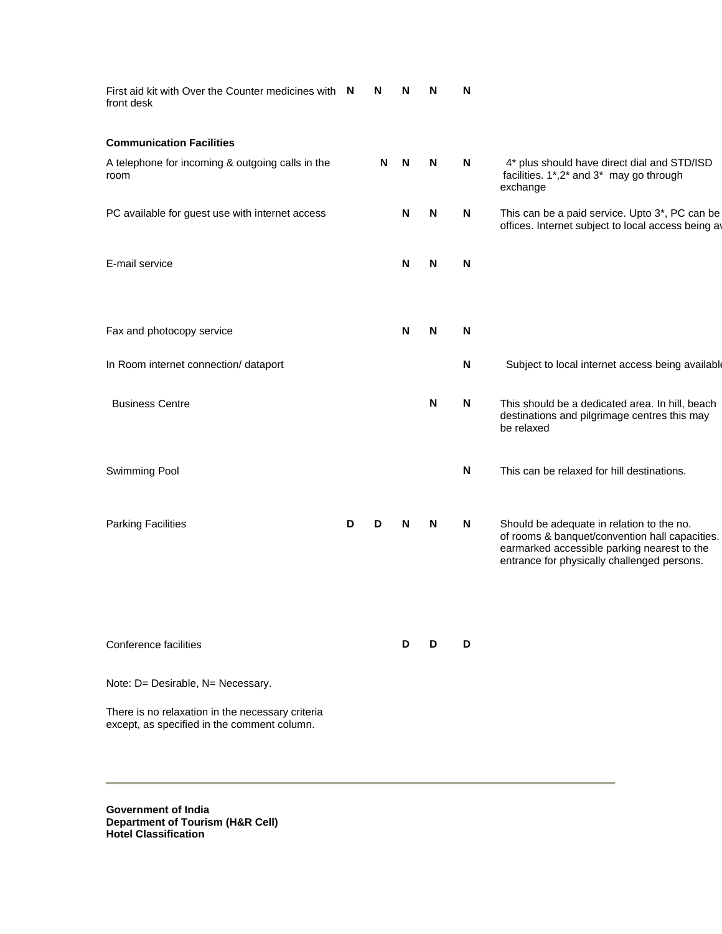| First aid kit with Over the Counter medicines with N<br>front desk                              |   | N | N | N | N |                                                                                                                                                                                           |
|-------------------------------------------------------------------------------------------------|---|---|---|---|---|-------------------------------------------------------------------------------------------------------------------------------------------------------------------------------------------|
| <b>Communication Facilities</b>                                                                 |   |   |   |   |   |                                                                                                                                                                                           |
| A telephone for incoming & outgoing calls in the<br>room                                        |   | N | N | N | N | 4* plus should have direct dial and STD/ISD<br>facilities. 1*,2* and 3* may go through<br>exchange                                                                                        |
| PC available for guest use with internet access                                                 |   |   | N | N | N | This can be a paid service. Upto 3*, PC can be<br>offices. Internet subject to local access being av                                                                                      |
| E-mail service                                                                                  |   |   | N | N | N |                                                                                                                                                                                           |
| Fax and photocopy service                                                                       |   |   | N | N | N |                                                                                                                                                                                           |
| In Room internet connection/ dataport                                                           |   |   |   |   | N | Subject to local internet access being available                                                                                                                                          |
| <b>Business Centre</b>                                                                          |   |   |   | N | N | This should be a dedicated area. In hill, beach<br>destinations and pilgrimage centres this may<br>be relaxed                                                                             |
| Swimming Pool                                                                                   |   |   |   |   | N | This can be relaxed for hill destinations.                                                                                                                                                |
| <b>Parking Facilities</b>                                                                       | D | D | N | N | N | Should be adequate in relation to the no.<br>of rooms & banquet/convention hall capacities.<br>earmarked accessible parking nearest to the<br>entrance for physically challenged persons. |
| Conference facilities                                                                           |   |   | D | D | D |                                                                                                                                                                                           |
| Note: D= Desirable, N= Necessary.                                                               |   |   |   |   |   |                                                                                                                                                                                           |
| There is no relaxation in the necessary criteria<br>except, as specified in the comment column. |   |   |   |   |   |                                                                                                                                                                                           |

**Government of India Department of Tourism (H&R Cell) Hotel Classification**